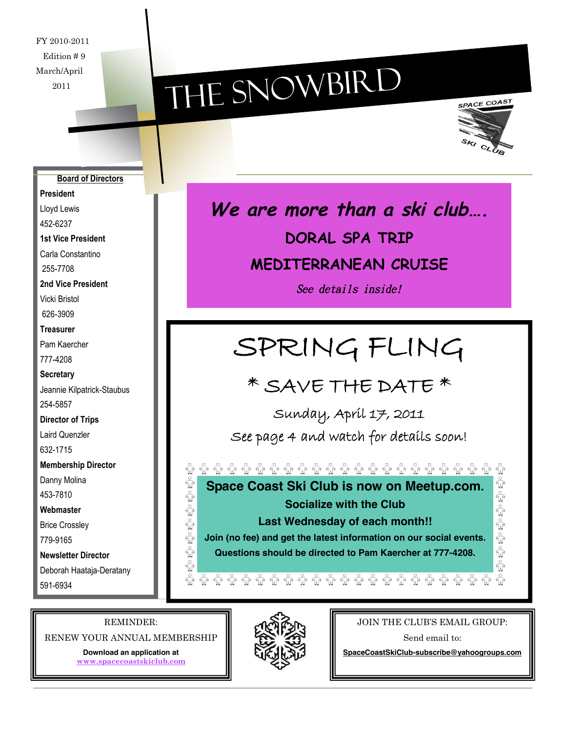FY 2010-2011 Edition # 9 March/April 2011

# THE SNOWBIRD



#### **Board of Directors**

**President**

Lloyd Lewis 452-6237

**1st Vice President**

Carla Constantino

255-7708

**2nd Vice President**

Vicki Bristol 626-3909

#### **Treasurer**

Pam Kaercher 777-4208

#### **Secretary**

Jeannie Kilpatrick-Staubus 254-5857

**Director of Trips**

Laird Quenzler

632-1715

**Membership Director**

Danny Molina

453-7810

**Webmaster**

Brice Crossley

779-9165

**Newsletter Director** Deborah Haataja-Deratany 591-6934

### **We are more than <sup>a</sup> ski club…. DORAL SPA TRIP MEDITERRANEAN CRUISE**

See details inside!

## SPRING FLING

### \* SAVE THE DATE \*

Sunday, April 17, 2011

See page 4 and watch for details soon!

**Space Coast Ski Club is now on Meetup.com. Socialize with the Club Last Wednesday of each month!!**

**Join (no fee) and get the latest information on our social events.**

**Questions should be directed to Pam Kaercher at 777-4208.**

REMINDER:

きょうきゅうき

 $\frac{1}{\sqrt{2}}$  $\stackrel{\circ}{\mathbb{W}}$ 

RENEW YOUR ANNUAL MEMBERSHIP

**Download an application at www.spacecoastskiclub.com**



#### JOIN THE CLUB'S EMAIL GROUP:

きょうきゅうきょうき

Send email to:

**SpaceCoastSkiClub-subscribe@yahoogroups.com**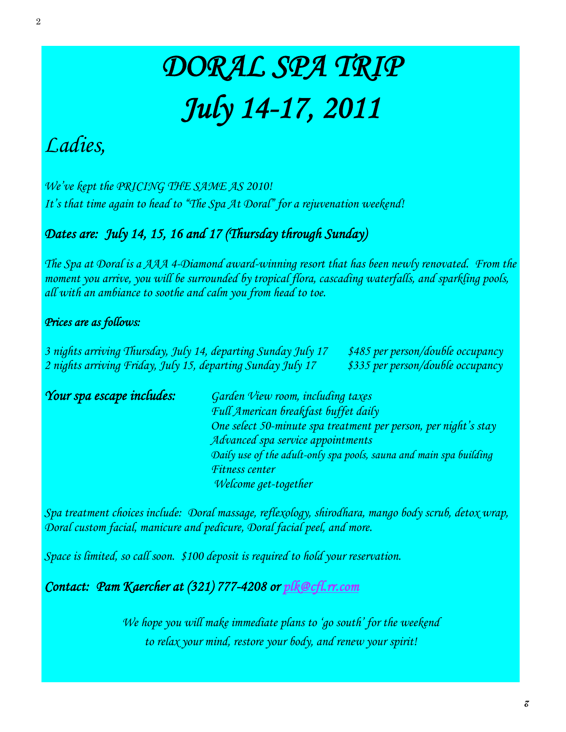## DORAL SPA TRIP July 14-17, 2011

### Ladies,

We've kept the PRICING THE SAME AS 2010! It's that time again to head to "The Spa At Doral" for a rejuvenation weekend!

#### Dates are: July 14, 15, 16 and 17 (Thursday through Sunday)

The Spa at Doral is a AAA 4-Diamond award-winning resort that has been newly renovated. From the moment you arrive, you will be surrounded by tropical flora, cascading waterfalls, and sparkling pools, all with an ambiance to soothe and calm you from head to toe.

#### Prices are as follows:

3 nights arriving Thursday, July 14, departing Sunday July 17 \$485 per person/double occupancy 2 nights arriving Friday, July 15, departing Sunday July 17 \$335 per person/double occupancy

Your spa escape includes: Garden View room, including taxes Full American breakfast buffet daily One select 50-minute spa treatment per person, per night's stay Advanced spa service appointments Daily use of the adult-only spa pools, sauna and main spa building Fitness center Welcome get-together

Spa treatment choices include: Doral massage, reflexology, shirodhara, mango body scrub, detox wrap, Doral custom facial, manicure and pedicure, Doral facial peel, and more.

Space is limited, so call soon. \$100 deposit is required to hold your reservation.

Contact: Pam Kaercher at (321) 777-4208 or plk@cfl.rr.com

We hope you will make immediate plans to 'go south' for the weekend to relax your mind, restore your body, and renew your spirit!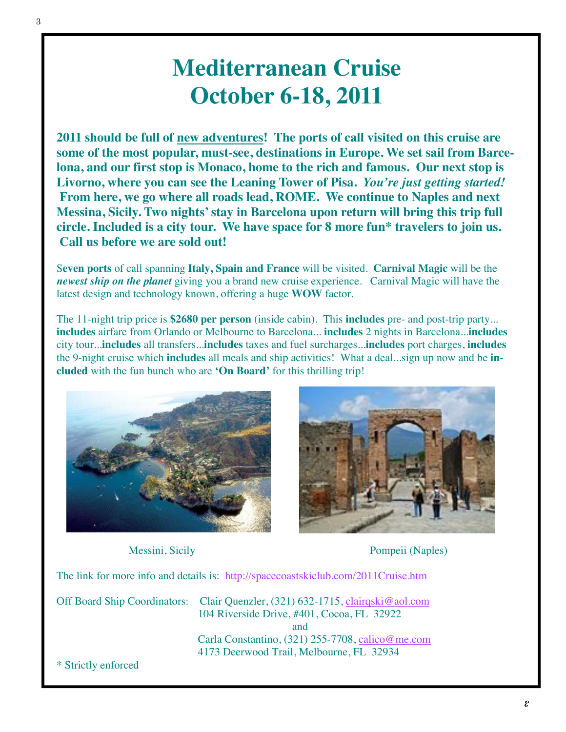### **Mediterranean Cruise October 6-18, 2011**

**2011 should be full of new adventures! The ports of call visited on this cruise are some of the most popular, must-see, destinations in Europe. We set sail from Barcelona, and our first stop is Monaco, home to the rich and famous. Our next stop is Livorno, where you can see the Leaning Tower of Pisa.** *You're just getting started!* **From here, we go where all roads lead, ROME. We continue to Naples and next Messina, Sicily. Two nights' stay in Barcelona upon return will bring this trip full circle. Included is a city tour. We have space for 8 more fun\* travelers to join us. Call us before we are sold out!**

S**even ports** of call spanning **Italy, Spain and France** will be visited. **Carnival Magic** will be the *newest ship on the planet* giving you a brand new cruise experience. Carnival Magic will have the latest design and technology known, offering a huge **WOW** factor.

The 11-night trip price is **\$2680 per person** (inside cabin). This **includes** pre- and post-trip party... **includes** airfare from Orlando or Melbourne to Barcelona... **includes** 2 nights in Barcelona...**includes** city tour...**includes** all transfers...**includes** taxes and fuel surcharges...**includes** port charges, **includes** the 9-night cruise which **includes** all meals and ship activities! What a deal...sign up now and be **included** with the fun bunch who are **'On Board'** for this thrilling trip!





Messini, Sicily Pompeii (Naples)

The link for more info and details is: http://spacecoastskiclub.com/2011Cruise.htm

Off Board Ship Coordinators: Clair Quenzler, (321) 632-1715, clairqski@aol.com 104 Riverside Drive, #401, Cocoa, FL 32922 and Carla Constantino, (321) 255-7708, calico@me.com 4173 Deerwood Trail, Melbourne, FL 32934

\* Strictly enforced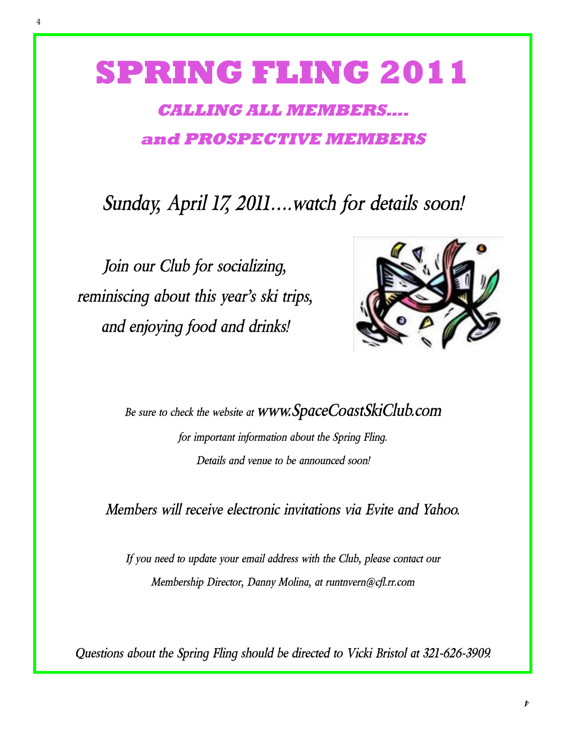## **SPRING FLING 2011**

### **CALLING ALL MEMBERS…. and PROSPECTIVE MEMBERS**

*Sunday, April 17, 2011….watch for details soon!*

*Join our Club for socializing, reminiscing about this year's ski trips, and enjoying food and drinks!*



*Be sure to check the website at www.SpaceCoastSkiClub.com for important information about the Spring Fling. Details and venue to be announced soon!*

*Members will receive electronic invitations via Evite and Yahoo.*

*If you need to update your email address with the Club, please contact our Membership Director, Danny Molina, at runtnvern@cfl.rr.com*

*Questions about the Spring Fling should be directed to Vicki Bristol at 321-626-3909.*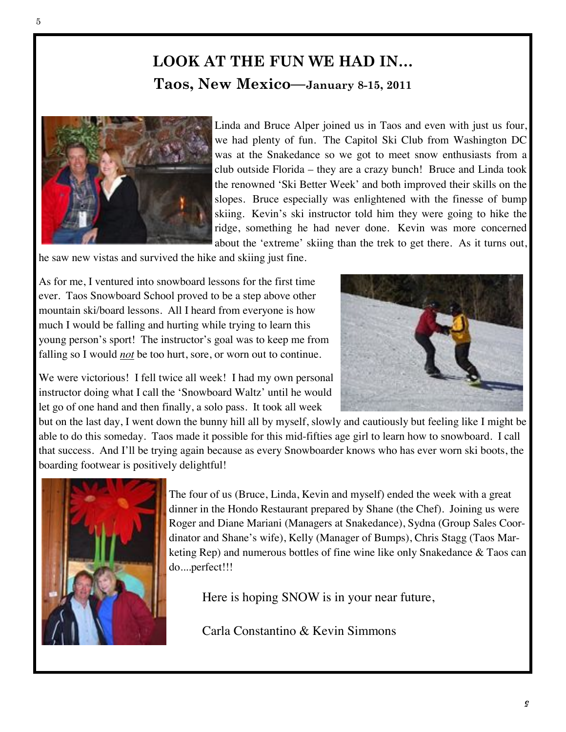#### **LOOK AT THE FUN WE HAD IN… Taos, New Mexico—January 8-15, 2011**



Linda and Bruce Alper joined us in Taos and even with just us four, we had plenty of fun. The Capitol Ski Club from Washington DC was at the Snakedance so we got to meet snow enthusiasts from a club outside Florida – they are a crazy bunch! Bruce and Linda took the renowned 'Ski Better Week' and both improved their skills on the slopes. Bruce especially was enlightened with the finesse of bump skiing. Kevin's ski instructor told him they were going to hike the ridge, something he had never done. Kevin was more concerned about the 'extreme' skiing than the trek to get there. As it turns out,

he saw new vistas and survived the hike and skiing just fine.

As for me, I ventured into snowboard lessons for the first time ever. Taos Snowboard School proved to be a step above other mountain ski/board lessons. All I heard from everyone is how much I would be falling and hurting while trying to learn this young person's sport! The instructor's goal was to keep me from falling so I would *not* be too hurt, sore, or worn out to continue.



We were victorious! I fell twice all week! I had my own personal instructor doing what I call the 'Snowboard Waltz' until he would let go of one hand and then finally, a solo pass. It took all week

but on the last day, I went down the bunny hill all by myself, slowly and cautiously but feeling like I might be able to do this someday. Taos made it possible for this mid-fifties age girl to learn how to snowboard. I call that success. And I'll be trying again because as every Snowboarder knows who has ever worn ski boots, the boarding footwear is positively delightful!



The four of us (Bruce, Linda, Kevin and myself) ended the week with a great dinner in the Hondo Restaurant prepared by Shane (the Chef). Joining us were Roger and Diane Mariani (Managers at Snakedance), Sydna (Group Sales Coordinator and Shane's wife), Kelly (Manager of Bumps), Chris Stagg (Taos Marketing Rep) and numerous bottles of fine wine like only Snakedance & Taos can do....perfect!!!

Here is hoping SNOW is in your near future,

Carla Constantino & Kevin Simmons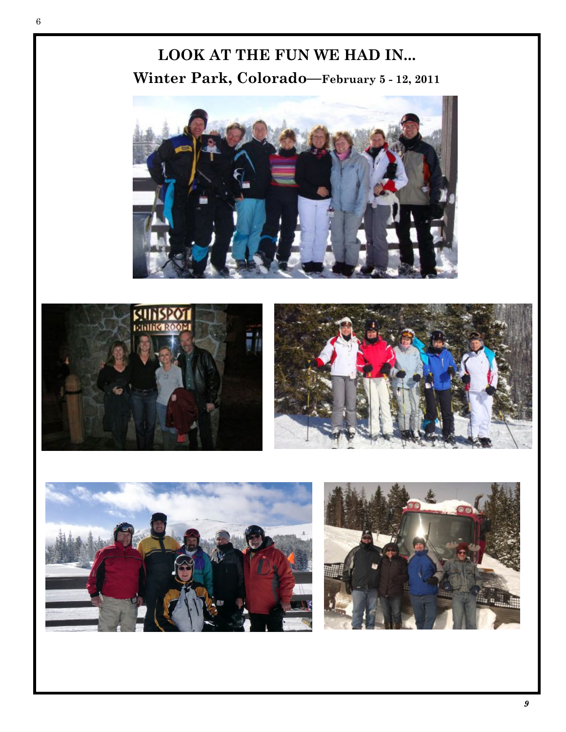6

#### **LOOK AT THE FUN WE HAD IN... Winter Park, Colorado—February 5 - 12, 2011**